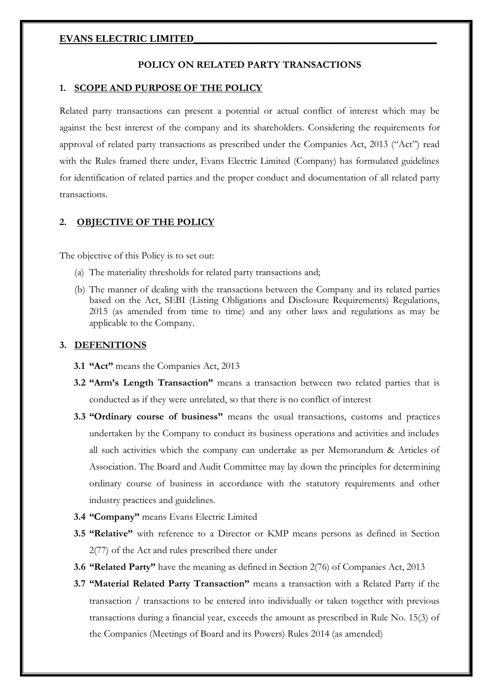# **EVANS ELECTRIC LIMITED\_\_\_\_\_\_\_\_\_\_\_\_\_\_\_\_\_\_\_\_\_\_\_\_\_\_\_\_\_\_\_\_\_\_\_\_\_\_\_\_\_\_\_\_\_\_\_\_\_**

#### **POLICY ON RELATED PARTY TRANSACTIONS**

# **1. SCOPE AND PURPOSE OF THE POLICY**

Related party transactions can present a potential or actual conflict of interest which may be against the best interest of the company and its shareholders. Considering the requirements for approval of related party transactions as prescribed under the Companies Act, 2013 ("Act") read with the Rules framed there under, Evans Electric Limited (Company) has formulated guidelines for identification of related parties and the proper conduct and documentation of all related party transactions.

# **2. OBJECTIVE OF THE POLICY**

The objective of this Policy is to set out:

- (a) The materiality thresholds for related party transactions and;
- (b) The manner of dealing with the transactions between the Company and its related parties based on the Act, SEBI (Listing Obligations and Disclosure Requirements) Regulations, 2015 (as amended from time to time) and any other laws and regulations as may be applicable to the Company.

# **3. DEFENITIONS**

- **3.1 "Act"** means the Companies Act, 2013
- **3.2 "Arm's Length Transaction"** means a transaction between two related parties that is conducted as if they were unrelated, so that there is no conflict of interest
- **3.3 "Ordinary course of business"** means the usual transactions, customs and practices undertaken by the Company to conduct its business operations and activities and includes all such activities which the company can undertake as per Memorandum & Articles of Association. The Board and Audit Committee may lay down the principles for determining ordinary course of business in accordance with the statutory requirements and other industry practices and guidelines.
- **3.4 "Company"** means Evans Electric Limited
- **3.5 "Relative"** with reference to a Director or KMP means persons as defined in Section 2(77) of the Act and rules prescribed there under
- **3.6 "Related Party"** have the meaning as defined in Section 2(76) of Companies Act, 2013
- **3.7 "Material Related Party Transaction"** means a transaction with a Related Party if the transaction / transactions to be entered into individually or taken together with previous transactions during a financial year, exceeds the amount as prescribed in Rule No. 15(3) of the Companies (Meetings of Board and its Powers) Rules 2014 (as amended)